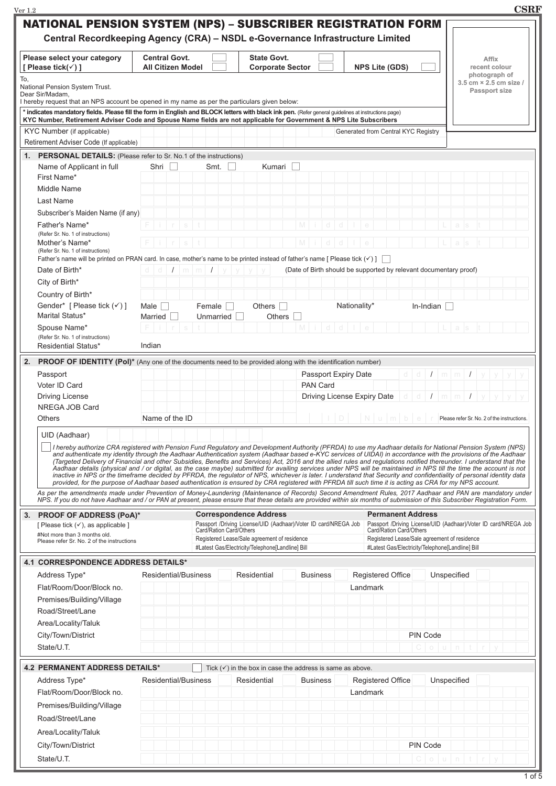| Ver 1.2                                                                                                                                                                       |                                                                                                                                                          |                                                                                                  |                      |                                                                                                  | <b>CSRF</b>                                                                                                                                                                                                                                                                                                                                                                                                                                                                                                                                                                                                                                                                                                                                                                                                                                                                                                                                                                                                                                                                                                                                                                                           |
|-------------------------------------------------------------------------------------------------------------------------------------------------------------------------------|----------------------------------------------------------------------------------------------------------------------------------------------------------|--------------------------------------------------------------------------------------------------|----------------------|--------------------------------------------------------------------------------------------------|-------------------------------------------------------------------------------------------------------------------------------------------------------------------------------------------------------------------------------------------------------------------------------------------------------------------------------------------------------------------------------------------------------------------------------------------------------------------------------------------------------------------------------------------------------------------------------------------------------------------------------------------------------------------------------------------------------------------------------------------------------------------------------------------------------------------------------------------------------------------------------------------------------------------------------------------------------------------------------------------------------------------------------------------------------------------------------------------------------------------------------------------------------------------------------------------------------|
| <b>NATIONAL PENSION SYSTEM (NPS) – SUBSCRIBER REGISTRATION FORM</b>                                                                                                           |                                                                                                                                                          |                                                                                                  |                      |                                                                                                  |                                                                                                                                                                                                                                                                                                                                                                                                                                                                                                                                                                                                                                                                                                                                                                                                                                                                                                                                                                                                                                                                                                                                                                                                       |
|                                                                                                                                                                               | Central Recordkeeping Agency (CRA) - NSDL e-Governance Infrastructure Limited                                                                            |                                                                                                  |                      |                                                                                                  |                                                                                                                                                                                                                                                                                                                                                                                                                                                                                                                                                                                                                                                                                                                                                                                                                                                                                                                                                                                                                                                                                                                                                                                                       |
|                                                                                                                                                                               |                                                                                                                                                          |                                                                                                  |                      |                                                                                                  |                                                                                                                                                                                                                                                                                                                                                                                                                                                                                                                                                                                                                                                                                                                                                                                                                                                                                                                                                                                                                                                                                                                                                                                                       |
| Please select your category<br>[ Please tick(√) ]                                                                                                                             | <b>Central Govt.</b><br><b>All Citizen Model</b>                                                                                                         | <b>State Govt.</b><br><b>Corporate Sector</b>                                                    |                      | <b>NPS Lite (GDS)</b>                                                                            | <b>Affix</b><br>recent colour                                                                                                                                                                                                                                                                                                                                                                                                                                                                                                                                                                                                                                                                                                                                                                                                                                                                                                                                                                                                                                                                                                                                                                         |
| To,                                                                                                                                                                           |                                                                                                                                                          |                                                                                                  |                      |                                                                                                  | photograph of                                                                                                                                                                                                                                                                                                                                                                                                                                                                                                                                                                                                                                                                                                                                                                                                                                                                                                                                                                                                                                                                                                                                                                                         |
| National Pension System Trust.                                                                                                                                                |                                                                                                                                                          |                                                                                                  |                      |                                                                                                  | 3.5 cm × 2.5 cm size /<br><b>Passport size</b>                                                                                                                                                                                                                                                                                                                                                                                                                                                                                                                                                                                                                                                                                                                                                                                                                                                                                                                                                                                                                                                                                                                                                        |
| Dear Sir/Madam,<br>I hereby request that an NPS account be opened in my name as per the particulars given below:                                                              |                                                                                                                                                          |                                                                                                  |                      |                                                                                                  |                                                                                                                                                                                                                                                                                                                                                                                                                                                                                                                                                                                                                                                                                                                                                                                                                                                                                                                                                                                                                                                                                                                                                                                                       |
| * indicates mandatory fields. Please fill the form in English and BLOCK letters with black ink pen. (Refer general quidelines at instructions page)                           |                                                                                                                                                          |                                                                                                  |                      |                                                                                                  |                                                                                                                                                                                                                                                                                                                                                                                                                                                                                                                                                                                                                                                                                                                                                                                                                                                                                                                                                                                                                                                                                                                                                                                                       |
| KYC Number, Retirement Adviser Code and Spouse Name fields are not applicable for Government & NPS Lite Subscribers                                                           |                                                                                                                                                          |                                                                                                  |                      |                                                                                                  |                                                                                                                                                                                                                                                                                                                                                                                                                                                                                                                                                                                                                                                                                                                                                                                                                                                                                                                                                                                                                                                                                                                                                                                                       |
| KYC Number (if applicable)<br>Retirement Adviser Code (If applicable)                                                                                                         |                                                                                                                                                          |                                                                                                  |                      | Generated from Central KYC Registry                                                              |                                                                                                                                                                                                                                                                                                                                                                                                                                                                                                                                                                                                                                                                                                                                                                                                                                                                                                                                                                                                                                                                                                                                                                                                       |
|                                                                                                                                                                               |                                                                                                                                                          |                                                                                                  |                      |                                                                                                  |                                                                                                                                                                                                                                                                                                                                                                                                                                                                                                                                                                                                                                                                                                                                                                                                                                                                                                                                                                                                                                                                                                                                                                                                       |
| 1. PERSONAL DETAILS: (Please refer to Sr. No.1 of the instructions)                                                                                                           | Smt.                                                                                                                                                     |                                                                                                  |                      |                                                                                                  |                                                                                                                                                                                                                                                                                                                                                                                                                                                                                                                                                                                                                                                                                                                                                                                                                                                                                                                                                                                                                                                                                                                                                                                                       |
| Name of Applicant in full<br>First Name*                                                                                                                                      | Shri                                                                                                                                                     | Kumari                                                                                           |                      |                                                                                                  |                                                                                                                                                                                                                                                                                                                                                                                                                                                                                                                                                                                                                                                                                                                                                                                                                                                                                                                                                                                                                                                                                                                                                                                                       |
| Middle Name                                                                                                                                                                   |                                                                                                                                                          |                                                                                                  |                      |                                                                                                  |                                                                                                                                                                                                                                                                                                                                                                                                                                                                                                                                                                                                                                                                                                                                                                                                                                                                                                                                                                                                                                                                                                                                                                                                       |
| Last Name                                                                                                                                                                     |                                                                                                                                                          |                                                                                                  |                      |                                                                                                  |                                                                                                                                                                                                                                                                                                                                                                                                                                                                                                                                                                                                                                                                                                                                                                                                                                                                                                                                                                                                                                                                                                                                                                                                       |
| Subscriber's Maiden Name (if any)                                                                                                                                             |                                                                                                                                                          |                                                                                                  |                      |                                                                                                  |                                                                                                                                                                                                                                                                                                                                                                                                                                                                                                                                                                                                                                                                                                                                                                                                                                                                                                                                                                                                                                                                                                                                                                                                       |
| Father's Name*                                                                                                                                                                |                                                                                                                                                          |                                                                                                  |                      |                                                                                                  |                                                                                                                                                                                                                                                                                                                                                                                                                                                                                                                                                                                                                                                                                                                                                                                                                                                                                                                                                                                                                                                                                                                                                                                                       |
| (Refer Sr. No. 1 of instructions)                                                                                                                                             |                                                                                                                                                          |                                                                                                  |                      |                                                                                                  |                                                                                                                                                                                                                                                                                                                                                                                                                                                                                                                                                                                                                                                                                                                                                                                                                                                                                                                                                                                                                                                                                                                                                                                                       |
| Mother's Name*                                                                                                                                                                |                                                                                                                                                          |                                                                                                  |                      |                                                                                                  |                                                                                                                                                                                                                                                                                                                                                                                                                                                                                                                                                                                                                                                                                                                                                                                                                                                                                                                                                                                                                                                                                                                                                                                                       |
| (Refer Sr. No. 1 of instructions)<br>Father's name will be printed on PRAN card. In case, mother's name to be printed instead of father's name [ Please tick $(\checkmark)$ ] |                                                                                                                                                          |                                                                                                  |                      |                                                                                                  |                                                                                                                                                                                                                                                                                                                                                                                                                                                                                                                                                                                                                                                                                                                                                                                                                                                                                                                                                                                                                                                                                                                                                                                                       |
| Date of Birth*                                                                                                                                                                | $1 \mid m \mid m \mid 1$<br>$d$ $d$                                                                                                                      |                                                                                                  |                      | (Date of Birth should be supported by relevant documentary proof)                                |                                                                                                                                                                                                                                                                                                                                                                                                                                                                                                                                                                                                                                                                                                                                                                                                                                                                                                                                                                                                                                                                                                                                                                                                       |
| City of Birth*                                                                                                                                                                |                                                                                                                                                          |                                                                                                  |                      |                                                                                                  |                                                                                                                                                                                                                                                                                                                                                                                                                                                                                                                                                                                                                                                                                                                                                                                                                                                                                                                                                                                                                                                                                                                                                                                                       |
| Country of Birth*                                                                                                                                                             |                                                                                                                                                          |                                                                                                  |                      |                                                                                                  |                                                                                                                                                                                                                                                                                                                                                                                                                                                                                                                                                                                                                                                                                                                                                                                                                                                                                                                                                                                                                                                                                                                                                                                                       |
| Gender* [ Please tick $(\checkmark)$ ]                                                                                                                                        | Female<br>Male                                                                                                                                           | Others $\Box$                                                                                    |                      | Nationality*<br>In-Indian                                                                        |                                                                                                                                                                                                                                                                                                                                                                                                                                                                                                                                                                                                                                                                                                                                                                                                                                                                                                                                                                                                                                                                                                                                                                                                       |
| Marital Status*                                                                                                                                                               | Unmarried<br>Married                                                                                                                                     | <b>Others</b>                                                                                    |                      |                                                                                                  |                                                                                                                                                                                                                                                                                                                                                                                                                                                                                                                                                                                                                                                                                                                                                                                                                                                                                                                                                                                                                                                                                                                                                                                                       |
| Spouse Name*                                                                                                                                                                  |                                                                                                                                                          |                                                                                                  | M                    |                                                                                                  |                                                                                                                                                                                                                                                                                                                                                                                                                                                                                                                                                                                                                                                                                                                                                                                                                                                                                                                                                                                                                                                                                                                                                                                                       |
| (Refer Sr. No. 1 of instructions)                                                                                                                                             |                                                                                                                                                          |                                                                                                  |                      |                                                                                                  |                                                                                                                                                                                                                                                                                                                                                                                                                                                                                                                                                                                                                                                                                                                                                                                                                                                                                                                                                                                                                                                                                                                                                                                                       |
| Residential Status*                                                                                                                                                           | Indian                                                                                                                                                   |                                                                                                  |                      |                                                                                                  |                                                                                                                                                                                                                                                                                                                                                                                                                                                                                                                                                                                                                                                                                                                                                                                                                                                                                                                                                                                                                                                                                                                                                                                                       |
| 2.<br>PROOF OF IDENTITY (Pol)* (Any one of the documents need to be provided along with the identification number)                                                            |                                                                                                                                                          |                                                                                                  |                      |                                                                                                  |                                                                                                                                                                                                                                                                                                                                                                                                                                                                                                                                                                                                                                                                                                                                                                                                                                                                                                                                                                                                                                                                                                                                                                                                       |
| Passport                                                                                                                                                                      |                                                                                                                                                          |                                                                                                  | Passport Expiry Date | $d -$<br>- d                                                                                     | $I \mid m \mid m \mid I \mid y \mid y \mid y$                                                                                                                                                                                                                                                                                                                                                                                                                                                                                                                                                                                                                                                                                                                                                                                                                                                                                                                                                                                                                                                                                                                                                         |
| Voter ID Card                                                                                                                                                                 |                                                                                                                                                          |                                                                                                  | PAN Card             |                                                                                                  |                                                                                                                                                                                                                                                                                                                                                                                                                                                                                                                                                                                                                                                                                                                                                                                                                                                                                                                                                                                                                                                                                                                                                                                                       |
| <b>Driving License</b>                                                                                                                                                        |                                                                                                                                                          |                                                                                                  |                      | Driving License Expiry Date<br>$d -$<br>d                                                        | $I \mid m \mid m$                                                                                                                                                                                                                                                                                                                                                                                                                                                                                                                                                                                                                                                                                                                                                                                                                                                                                                                                                                                                                                                                                                                                                                                     |
| NREGA JOB Card                                                                                                                                                                | Name of the ID                                                                                                                                           |                                                                                                  | D                    | $ N $ u $ m $ b $ e $ r                                                                          | Please refer Sr. No. 2 of the instructions.                                                                                                                                                                                                                                                                                                                                                                                                                                                                                                                                                                                                                                                                                                                                                                                                                                                                                                                                                                                                                                                                                                                                                           |
| Others                                                                                                                                                                        |                                                                                                                                                          |                                                                                                  |                      |                                                                                                  |                                                                                                                                                                                                                                                                                                                                                                                                                                                                                                                                                                                                                                                                                                                                                                                                                                                                                                                                                                                                                                                                                                                                                                                                       |
| UID (Aadhaar)                                                                                                                                                                 |                                                                                                                                                          |                                                                                                  |                      |                                                                                                  |                                                                                                                                                                                                                                                                                                                                                                                                                                                                                                                                                                                                                                                                                                                                                                                                                                                                                                                                                                                                                                                                                                                                                                                                       |
|                                                                                                                                                                               | provided, for the purpose of Aadhaar based authentication is ensured by CRA registered with PFRDA till such time it is acting as CRA for my NPS account. |                                                                                                  |                      |                                                                                                  | I hereby authorize CRA registered with Pension Fund Regulatory and Development Authority (PFRDA) to use my Aadhaar details for National Pension System (NPS)<br>and authenticate my identity through the Aadhaar Authentication system (Aadhaar based e-KYC services of UIDAI) in accordance with the provisions of the Aadhaar<br>(Targeted Delivery of Financial and other Subsidies, Benefits and Services) Act, 2016 and the allied rules and regulations notified thereunder. I understand that the<br>Aadhaar details (physical and / or digital, as the case maybe) submitted for availing services under NPS will be maintained in NPS till the time the account is not<br>inactive in NPS or the timeframe decided by PFRDA, the regulator of NPS, whichever is later. I understand that Security and confidentiality of personal identity data<br>As per the amendments made under Prevention of Money-Laundering (Maintenance of Records) Second Amendment Rules, 2017 Aadhaar and PAN are mandatory under<br>NPS. If you do not have Aadhaar and / or PAN at present, please ensure that these details are provided within six months of submission of this Subscriber Registration Form. |
|                                                                                                                                                                               |                                                                                                                                                          |                                                                                                  |                      |                                                                                                  |                                                                                                                                                                                                                                                                                                                                                                                                                                                                                                                                                                                                                                                                                                                                                                                                                                                                                                                                                                                                                                                                                                                                                                                                       |
| 3.<br><b>PROOF OF ADDRESS (PoA)*</b>                                                                                                                                          |                                                                                                                                                          | <b>Correspondence Address</b><br>Passport /Driving License/UID (Aadhaar)/Voter ID card/NREGA Job |                      | <b>Permanent Address</b>                                                                         | Passport /Driving License/UID (Aadhaar)/Voter ID card/NREGA Job                                                                                                                                                                                                                                                                                                                                                                                                                                                                                                                                                                                                                                                                                                                                                                                                                                                                                                                                                                                                                                                                                                                                       |
| [ Please tick $(\checkmark)$ , as applicable ]<br>#Not more than 3 months old.                                                                                                |                                                                                                                                                          | Card/Ration Card/Others                                                                          |                      | Card/Ration Card/Others                                                                          |                                                                                                                                                                                                                                                                                                                                                                                                                                                                                                                                                                                                                                                                                                                                                                                                                                                                                                                                                                                                                                                                                                                                                                                                       |
| Please refer Sr. No. 2 of the instructions                                                                                                                                    |                                                                                                                                                          | Registered Lease/Sale agreement of residence<br>#Latest Gas/Electricity/Telephone[Landline] Bill |                      | Registered Lease/Sale agreement of residence<br>#Latest Gas/Electricity/Telephone[Landline] Bill |                                                                                                                                                                                                                                                                                                                                                                                                                                                                                                                                                                                                                                                                                                                                                                                                                                                                                                                                                                                                                                                                                                                                                                                                       |
|                                                                                                                                                                               |                                                                                                                                                          |                                                                                                  |                      |                                                                                                  |                                                                                                                                                                                                                                                                                                                                                                                                                                                                                                                                                                                                                                                                                                                                                                                                                                                                                                                                                                                                                                                                                                                                                                                                       |
| <b>4.1 CORRESPONDENCE ADDRESS DETAILS*</b>                                                                                                                                    |                                                                                                                                                          |                                                                                                  |                      |                                                                                                  |                                                                                                                                                                                                                                                                                                                                                                                                                                                                                                                                                                                                                                                                                                                                                                                                                                                                                                                                                                                                                                                                                                                                                                                                       |
| Address Type*                                                                                                                                                                 | Residential/Business                                                                                                                                     | Residential                                                                                      | <b>Business</b>      | <b>Registered Office</b>                                                                         | Unspecified                                                                                                                                                                                                                                                                                                                                                                                                                                                                                                                                                                                                                                                                                                                                                                                                                                                                                                                                                                                                                                                                                                                                                                                           |
| Flat/Room/Door/Block no.                                                                                                                                                      |                                                                                                                                                          |                                                                                                  |                      | Landmark                                                                                         |                                                                                                                                                                                                                                                                                                                                                                                                                                                                                                                                                                                                                                                                                                                                                                                                                                                                                                                                                                                                                                                                                                                                                                                                       |
| Premises/Building/Village                                                                                                                                                     |                                                                                                                                                          |                                                                                                  |                      |                                                                                                  |                                                                                                                                                                                                                                                                                                                                                                                                                                                                                                                                                                                                                                                                                                                                                                                                                                                                                                                                                                                                                                                                                                                                                                                                       |
| Road/Street/Lane                                                                                                                                                              |                                                                                                                                                          |                                                                                                  |                      |                                                                                                  |                                                                                                                                                                                                                                                                                                                                                                                                                                                                                                                                                                                                                                                                                                                                                                                                                                                                                                                                                                                                                                                                                                                                                                                                       |
| Area/Locality/Taluk                                                                                                                                                           |                                                                                                                                                          |                                                                                                  |                      |                                                                                                  |                                                                                                                                                                                                                                                                                                                                                                                                                                                                                                                                                                                                                                                                                                                                                                                                                                                                                                                                                                                                                                                                                                                                                                                                       |
| City/Town/District                                                                                                                                                            |                                                                                                                                                          |                                                                                                  |                      | PIN Code                                                                                         |                                                                                                                                                                                                                                                                                                                                                                                                                                                                                                                                                                                                                                                                                                                                                                                                                                                                                                                                                                                                                                                                                                                                                                                                       |
| State/U.T.                                                                                                                                                                    |                                                                                                                                                          |                                                                                                  |                      | C.                                                                                               | o u n t <br>$\Gamma$                                                                                                                                                                                                                                                                                                                                                                                                                                                                                                                                                                                                                                                                                                                                                                                                                                                                                                                                                                                                                                                                                                                                                                                  |
| <b>4.2 PERMANENT ADDRESS DETAILS*</b>                                                                                                                                         |                                                                                                                                                          |                                                                                                  |                      |                                                                                                  |                                                                                                                                                                                                                                                                                                                                                                                                                                                                                                                                                                                                                                                                                                                                                                                                                                                                                                                                                                                                                                                                                                                                                                                                       |
|                                                                                                                                                                               |                                                                                                                                                          | Tick $(\checkmark)$ in the box in case the address is same as above.                             |                      |                                                                                                  |                                                                                                                                                                                                                                                                                                                                                                                                                                                                                                                                                                                                                                                                                                                                                                                                                                                                                                                                                                                                                                                                                                                                                                                                       |
| Address Type*                                                                                                                                                                 | <b>Residential/Business</b>                                                                                                                              | Residential                                                                                      | <b>Business</b>      | <b>Registered Office</b>                                                                         | Unspecified                                                                                                                                                                                                                                                                                                                                                                                                                                                                                                                                                                                                                                                                                                                                                                                                                                                                                                                                                                                                                                                                                                                                                                                           |
| Flat/Room/Door/Block no.                                                                                                                                                      |                                                                                                                                                          |                                                                                                  |                      | Landmark                                                                                         |                                                                                                                                                                                                                                                                                                                                                                                                                                                                                                                                                                                                                                                                                                                                                                                                                                                                                                                                                                                                                                                                                                                                                                                                       |
| Premises/Building/Village                                                                                                                                                     |                                                                                                                                                          |                                                                                                  |                      |                                                                                                  |                                                                                                                                                                                                                                                                                                                                                                                                                                                                                                                                                                                                                                                                                                                                                                                                                                                                                                                                                                                                                                                                                                                                                                                                       |
| Road/Street/Lane                                                                                                                                                              |                                                                                                                                                          |                                                                                                  |                      |                                                                                                  |                                                                                                                                                                                                                                                                                                                                                                                                                                                                                                                                                                                                                                                                                                                                                                                                                                                                                                                                                                                                                                                                                                                                                                                                       |
| Area/Locality/Taluk                                                                                                                                                           |                                                                                                                                                          |                                                                                                  |                      |                                                                                                  |                                                                                                                                                                                                                                                                                                                                                                                                                                                                                                                                                                                                                                                                                                                                                                                                                                                                                                                                                                                                                                                                                                                                                                                                       |
| City/Town/District                                                                                                                                                            |                                                                                                                                                          |                                                                                                  |                      | PIN Code                                                                                         |                                                                                                                                                                                                                                                                                                                                                                                                                                                                                                                                                                                                                                                                                                                                                                                                                                                                                                                                                                                                                                                                                                                                                                                                       |
| State/U.T.                                                                                                                                                                    |                                                                                                                                                          |                                                                                                  |                      |                                                                                                  | $C$   o   u   n   t   r                                                                                                                                                                                                                                                                                                                                                                                                                                                                                                                                                                                                                                                                                                                                                                                                                                                                                                                                                                                                                                                                                                                                                                               |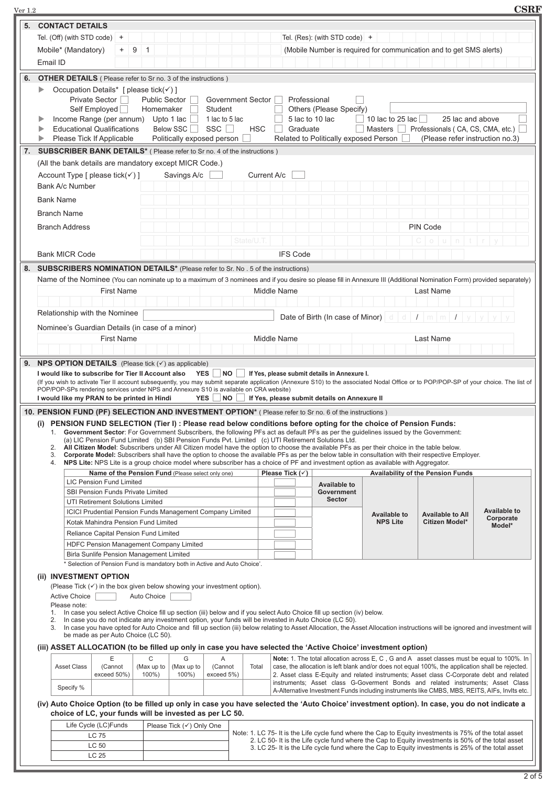| $\rm Ver~1.2$ |                                                                                                       |                                                                           |   |                                                                                       |                                                                 |                |                   |                            |                 |                                                                                                                           |                                                                                                                                                                                                                                                                                                                                                                                                              |                                                                                                                                                                                                              | <b>CSRF</b>         |
|---------------|-------------------------------------------------------------------------------------------------------|---------------------------------------------------------------------------|---|---------------------------------------------------------------------------------------|-----------------------------------------------------------------|----------------|-------------------|----------------------------|-----------------|---------------------------------------------------------------------------------------------------------------------------|--------------------------------------------------------------------------------------------------------------------------------------------------------------------------------------------------------------------------------------------------------------------------------------------------------------------------------------------------------------------------------------------------------------|--------------------------------------------------------------------------------------------------------------------------------------------------------------------------------------------------------------|---------------------|
| 5.            | <b>CONTACT DETAILS</b>                                                                                |                                                                           |   |                                                                                       |                                                                 |                |                   |                            |                 |                                                                                                                           |                                                                                                                                                                                                                                                                                                                                                                                                              |                                                                                                                                                                                                              |                     |
|               | Tel. (Off) (with STD code) $+$                                                                        |                                                                           |   |                                                                                       |                                                                 |                |                   |                            |                 | Tel. (Res): (with STD code) +                                                                                             |                                                                                                                                                                                                                                                                                                                                                                                                              |                                                                                                                                                                                                              |                     |
|               | Mobile* (Mandatory)                                                                                   | $+$                                                                       | 9 | $\overline{1}$<br>(Mobile Number is required for communication and to get SMS alerts) |                                                                 |                |                   |                            |                 |                                                                                                                           |                                                                                                                                                                                                                                                                                                                                                                                                              |                                                                                                                                                                                                              |                     |
|               | Email ID                                                                                              |                                                                           |   |                                                                                       |                                                                 |                |                   |                            |                 |                                                                                                                           |                                                                                                                                                                                                                                                                                                                                                                                                              |                                                                                                                                                                                                              |                     |
|               |                                                                                                       |                                                                           |   |                                                                                       |                                                                 |                |                   |                            |                 |                                                                                                                           |                                                                                                                                                                                                                                                                                                                                                                                                              |                                                                                                                                                                                                              |                     |
| 6.            | <b>OTHER DETAILS</b> ( Please refer to Sr no. 3 of the instructions )                                 |                                                                           |   |                                                                                       |                                                                 |                |                   |                            |                 |                                                                                                                           |                                                                                                                                                                                                                                                                                                                                                                                                              |                                                                                                                                                                                                              |                     |
|               | ▶<br>Occupation Details* [ please tick( $\checkmark$ ) ]                                              |                                                                           |   |                                                                                       |                                                                 |                |                   |                            |                 |                                                                                                                           |                                                                                                                                                                                                                                                                                                                                                                                                              |                                                                                                                                                                                                              |                     |
|               |                                                                                                       | Private Sector                                                            |   | <b>Public Sector</b>                                                                  |                                                                 |                | Government Sector |                            | Professional    |                                                                                                                           |                                                                                                                                                                                                                                                                                                                                                                                                              |                                                                                                                                                                                                              |                     |
|               |                                                                                                       | Self Employed                                                             |   | Homemaker                                                                             |                                                                 | Student        |                   |                            |                 | Others (Please Specify)                                                                                                   |                                                                                                                                                                                                                                                                                                                                                                                                              |                                                                                                                                                                                                              |                     |
|               | Income Range (per annum) Upto 1 lac                                                                   |                                                                           |   |                                                                                       |                                                                 | 1 lac to 5 lac |                   |                            |                 | 5 lac to 10 lac                                                                                                           | 10 lac to 25 lac                                                                                                                                                                                                                                                                                                                                                                                             | 25 lac and above                                                                                                                                                                                             |                     |
|               | <b>Educational Qualifications</b><br>Please Tick If Applicable                                        |                                                                           |   |                                                                                       | <b>Below SSC</b><br>$\mathcal{L}$<br>Politically exposed person | SSC            | <b>HSC</b>        |                            | Graduate        | Related to Politically exposed Person                                                                                     | Masters                                                                                                                                                                                                                                                                                                                                                                                                      | Professionals (CA, CS, CMA, etc.)<br>(Please refer instruction no.3)                                                                                                                                         |                     |
|               |                                                                                                       |                                                                           |   |                                                                                       |                                                                 |                |                   |                            |                 |                                                                                                                           |                                                                                                                                                                                                                                                                                                                                                                                                              |                                                                                                                                                                                                              |                     |
| 7.            | <b>SUBSCRIBER BANK DETAILS*</b> ( Please refer to Sr no. 4 of the instructions )                      |                                                                           |   |                                                                                       |                                                                 |                |                   |                            |                 |                                                                                                                           |                                                                                                                                                                                                                                                                                                                                                                                                              |                                                                                                                                                                                                              |                     |
|               | (All the bank details are mandatory except MICR Code.)                                                |                                                                           |   |                                                                                       |                                                                 |                |                   |                            |                 |                                                                                                                           |                                                                                                                                                                                                                                                                                                                                                                                                              |                                                                                                                                                                                                              |                     |
|               | Account Type [ please tick( $\checkmark$ ) ]                                                          |                                                                           |   |                                                                                       | Savings A/c                                                     |                | Current A/c       |                            |                 |                                                                                                                           |                                                                                                                                                                                                                                                                                                                                                                                                              |                                                                                                                                                                                                              |                     |
|               | Bank A/c Number                                                                                       |                                                                           |   |                                                                                       |                                                                 |                |                   |                            |                 |                                                                                                                           |                                                                                                                                                                                                                                                                                                                                                                                                              |                                                                                                                                                                                                              |                     |
|               | <b>Bank Name</b>                                                                                      |                                                                           |   |                                                                                       |                                                                 |                |                   |                            |                 |                                                                                                                           |                                                                                                                                                                                                                                                                                                                                                                                                              |                                                                                                                                                                                                              |                     |
|               | <b>Branch Name</b>                                                                                    |                                                                           |   |                                                                                       |                                                                 |                |                   |                            |                 |                                                                                                                           |                                                                                                                                                                                                                                                                                                                                                                                                              |                                                                                                                                                                                                              |                     |
|               |                                                                                                       |                                                                           |   |                                                                                       |                                                                 |                |                   |                            |                 |                                                                                                                           |                                                                                                                                                                                                                                                                                                                                                                                                              | PIN Code                                                                                                                                                                                                     |                     |
|               | <b>Branch Address</b>                                                                                 |                                                                           |   |                                                                                       |                                                                 |                |                   |                            |                 |                                                                                                                           |                                                                                                                                                                                                                                                                                                                                                                                                              |                                                                                                                                                                                                              |                     |
|               |                                                                                                       |                                                                           |   |                                                                                       |                                                                 |                | State/U.T         |                            |                 |                                                                                                                           |                                                                                                                                                                                                                                                                                                                                                                                                              | $0$ $\vert$ $\vert$<br>n                                                                                                                                                                                     |                     |
|               | <b>Bank MICR Code</b>                                                                                 |                                                                           |   |                                                                                       |                                                                 |                |                   |                            | <b>IFS Code</b> |                                                                                                                           |                                                                                                                                                                                                                                                                                                                                                                                                              |                                                                                                                                                                                                              |                     |
| 8.            | SUBSCRIBERS NOMINATION DETAILS* (Please refer to Sr. No. 5 of the instructions)                       |                                                                           |   |                                                                                       |                                                                 |                |                   |                            |                 |                                                                                                                           |                                                                                                                                                                                                                                                                                                                                                                                                              |                                                                                                                                                                                                              |                     |
|               |                                                                                                       |                                                                           |   |                                                                                       |                                                                 |                |                   |                            |                 |                                                                                                                           |                                                                                                                                                                                                                                                                                                                                                                                                              | Name of the Nominee (You can nominate up to a maximum of 3 nominees and if you desire so please fill in Annexure III (Additional Nomination Form) provided separately)                                       |                     |
|               |                                                                                                       | <b>First Name</b>                                                         |   |                                                                                       |                                                                 |                |                   | Middle Name                |                 |                                                                                                                           |                                                                                                                                                                                                                                                                                                                                                                                                              | Last Name                                                                                                                                                                                                    |                     |
|               |                                                                                                       |                                                                           |   |                                                                                       |                                                                 |                |                   |                            |                 |                                                                                                                           |                                                                                                                                                                                                                                                                                                                                                                                                              |                                                                                                                                                                                                              |                     |
|               | Relationship with the Nominee                                                                         |                                                                           |   |                                                                                       |                                                                 |                |                   |                            |                 |                                                                                                                           |                                                                                                                                                                                                                                                                                                                                                                                                              |                                                                                                                                                                                                              |                     |
|               |                                                                                                       |                                                                           |   |                                                                                       |                                                                 |                |                   |                            |                 |                                                                                                                           | Date of Birth (In case of Minor) $d \mid d \mid I \mid m \mid m \mid I$                                                                                                                                                                                                                                                                                                                                      |                                                                                                                                                                                                              |                     |
|               | Nominee's Guardian Details (in case of a minor)                                                       |                                                                           |   |                                                                                       |                                                                 |                |                   |                            |                 |                                                                                                                           |                                                                                                                                                                                                                                                                                                                                                                                                              |                                                                                                                                                                                                              |                     |
|               |                                                                                                       | <b>First Name</b>                                                         |   |                                                                                       |                                                                 |                |                   | Middle Name                |                 |                                                                                                                           |                                                                                                                                                                                                                                                                                                                                                                                                              | Last Name                                                                                                                                                                                                    |                     |
|               |                                                                                                       |                                                                           |   |                                                                                       |                                                                 |                |                   |                            |                 |                                                                                                                           |                                                                                                                                                                                                                                                                                                                                                                                                              |                                                                                                                                                                                                              |                     |
|               | 10. PENSION FUND (PF) SELECTION AND INVESTMENT OPTION* (Please refer to Sr no. 6 of the instructions) |                                                                           |   |                                                                                       |                                                                 |                |                   |                            |                 | (a) LIC Pension Fund Limited (b) SBI Pension Funds Pvt. Limited (c) UTI Retirement Solutions Ltd.                         | (i) PENSION FUND SELECTION (Tier I) : Please read below conditions before opting for the choice of Pension Funds:<br>1. Government Sector: For Government Subscribers, the following PFs act as default PFs as per the guidelines issued by the Government:<br>2. All Citizen Model: Subscribers under All Citizen model have the option to choose the available PFs as per their choice in the table below. |                                                                                                                                                                                                              |                     |
|               | 3.                                                                                                    |                                                                           |   |                                                                                       |                                                                 |                |                   |                            |                 |                                                                                                                           |                                                                                                                                                                                                                                                                                                                                                                                                              | Corporate Model: Subscribers shall have the option to choose the available PFs as per the below table in consultation with their respective Employer.                                                        |                     |
|               |                                                                                                       | Name of the Pension Fund (Please select only one)                         |   |                                                                                       |                                                                 |                |                   |                            |                 |                                                                                                                           | 4. NPS Lite: NPS Lite is a group choice model where subscriber has a choice of PF and investment option as available with Aggregator.                                                                                                                                                                                                                                                                        |                                                                                                                                                                                                              |                     |
|               |                                                                                                       | <b>LIC Pension Fund Limited</b>                                           |   |                                                                                       |                                                                 |                |                   | Please Tick $(\checkmark)$ |                 |                                                                                                                           |                                                                                                                                                                                                                                                                                                                                                                                                              | <b>Availability of the Pension Funds</b>                                                                                                                                                                     |                     |
|               |                                                                                                       | SBI Pension Funds Private Limited                                         |   |                                                                                       |                                                                 |                |                   |                            |                 | <b>Available to</b><br>Government                                                                                         |                                                                                                                                                                                                                                                                                                                                                                                                              |                                                                                                                                                                                                              |                     |
|               |                                                                                                       | UTI Retirement Solutions Limited                                          |   |                                                                                       |                                                                 |                |                   |                            |                 | <b>Sector</b>                                                                                                             |                                                                                                                                                                                                                                                                                                                                                                                                              |                                                                                                                                                                                                              |                     |
|               |                                                                                                       | <b>ICICI Prudential Pension Funds Management Company Limited</b>          |   |                                                                                       |                                                                 |                |                   |                            |                 |                                                                                                                           | <b>Available to</b>                                                                                                                                                                                                                                                                                                                                                                                          | <b>Available to All</b>                                                                                                                                                                                      | <b>Available to</b> |
|               |                                                                                                       | Kotak Mahindra Pension Fund Limited                                       |   |                                                                                       |                                                                 |                |                   |                            |                 |                                                                                                                           | <b>NPS Lite</b>                                                                                                                                                                                                                                                                                                                                                                                              | Citizen Model*                                                                                                                                                                                               | Corporate<br>Model* |
|               |                                                                                                       | Reliance Capital Pension Fund Limited                                     |   |                                                                                       |                                                                 |                |                   |                            |                 |                                                                                                                           |                                                                                                                                                                                                                                                                                                                                                                                                              |                                                                                                                                                                                                              |                     |
|               |                                                                                                       | HDFC Pension Management Company Limited                                   |   |                                                                                       |                                                                 |                |                   |                            |                 |                                                                                                                           |                                                                                                                                                                                                                                                                                                                                                                                                              |                                                                                                                                                                                                              |                     |
|               |                                                                                                       | Birla Sunlife Pension Management Limited                                  |   |                                                                                       |                                                                 |                |                   |                            |                 |                                                                                                                           |                                                                                                                                                                                                                                                                                                                                                                                                              |                                                                                                                                                                                                              |                     |
|               |                                                                                                       | * Selection of Pension Fund is mandatory both in Active and Auto Choice'. |   |                                                                                       |                                                                 |                |                   |                            |                 |                                                                                                                           |                                                                                                                                                                                                                                                                                                                                                                                                              |                                                                                                                                                                                                              |                     |
|               | (ii) INVESTMENT OPTION                                                                                |                                                                           |   |                                                                                       |                                                                 |                |                   |                            |                 |                                                                                                                           |                                                                                                                                                                                                                                                                                                                                                                                                              |                                                                                                                                                                                                              |                     |
|               | (Please Tick $(\checkmark)$ in the box given below showing your investment option).                   |                                                                           |   |                                                                                       |                                                                 |                |                   |                            |                 |                                                                                                                           |                                                                                                                                                                                                                                                                                                                                                                                                              |                                                                                                                                                                                                              |                     |
|               | <b>Active Choice</b><br>Please note:                                                                  |                                                                           |   | Auto Choice                                                                           |                                                                 |                |                   |                            |                 |                                                                                                                           |                                                                                                                                                                                                                                                                                                                                                                                                              |                                                                                                                                                                                                              |                     |
|               |                                                                                                       |                                                                           |   |                                                                                       |                                                                 |                |                   |                            |                 | 1. In case you select Active Choice fill up section (iii) below and if you select Auto Choice fill up section (iv) below. |                                                                                                                                                                                                                                                                                                                                                                                                              |                                                                                                                                                                                                              |                     |
|               | 2.                                                                                                    |                                                                           |   |                                                                                       |                                                                 |                |                   |                            |                 | In case you do not indicate any investment option, your funds will be invested in Auto Choice (LC 50).                    |                                                                                                                                                                                                                                                                                                                                                                                                              | In case you have opted for Auto Choice and fill up section (iii) below relating to Asset Allocation, the Asset Allocation instructions will be ignored and investment will                                   |                     |
|               |                                                                                                       | be made as per Auto Choice (LC 50).                                       |   |                                                                                       |                                                                 |                |                   |                            |                 |                                                                                                                           |                                                                                                                                                                                                                                                                                                                                                                                                              |                                                                                                                                                                                                              |                     |
|               |                                                                                                       |                                                                           |   |                                                                                       |                                                                 |                |                   |                            |                 |                                                                                                                           | (iii) ASSET ALLOCATION (to be filled up only in case you have selected the 'Active Choice' investment option)                                                                                                                                                                                                                                                                                                |                                                                                                                                                                                                              |                     |
|               |                                                                                                       | Е                                                                         |   | C                                                                                     | G                                                               | Α              |                   |                            |                 |                                                                                                                           |                                                                                                                                                                                                                                                                                                                                                                                                              | Note: 1. The total allocation across E, C, G and A asset classes must be equal to 100%. In                                                                                                                   |                     |
|               | <b>Asset Class</b>                                                                                    | (Cannot                                                                   |   | (Max up to                                                                            | (Max up to                                                      | (Cannot        | Total             |                            |                 |                                                                                                                           |                                                                                                                                                                                                                                                                                                                                                                                                              | case, the allocation is left blank and/or does not equal 100%, the application shall be rejected.                                                                                                            |                     |
|               |                                                                                                       | exceed 50%)                                                               |   | 100%)                                                                                 | 100%)                                                           | exceed 5%)     |                   |                            |                 |                                                                                                                           |                                                                                                                                                                                                                                                                                                                                                                                                              | 2. Asset class E-Equity and related instruments; Asset class C-Corporate debt and related<br>instruments; Asset class G-Goverment Bonds and related instruments; Asset Class                                 |                     |
|               | Specify %                                                                                             |                                                                           |   |                                                                                       |                                                                 |                |                   |                            |                 |                                                                                                                           |                                                                                                                                                                                                                                                                                                                                                                                                              | A-Alternative Investment Funds including instruments like CMBS, MBS, REITS, AIFs, Invits etc.                                                                                                                |                     |
|               |                                                                                                       |                                                                           |   |                                                                                       |                                                                 |                |                   |                            |                 |                                                                                                                           |                                                                                                                                                                                                                                                                                                                                                                                                              | (iv) Auto Choice Option (to be filled up only in case you have selected the 'Auto Choice' investment option). In case, you do not indicate a                                                                 |                     |
|               | choice of LC, your funds will be invested as per LC 50.                                               |                                                                           |   |                                                                                       |                                                                 |                |                   |                            |                 |                                                                                                                           |                                                                                                                                                                                                                                                                                                                                                                                                              |                                                                                                                                                                                                              |                     |
|               |                                                                                                       | Life Cycle (LC)Funds                                                      |   |                                                                                       | Please Tick (√) Only One                                        |                |                   |                            |                 |                                                                                                                           |                                                                                                                                                                                                                                                                                                                                                                                                              |                                                                                                                                                                                                              |                     |
|               |                                                                                                       | LC 75                                                                     |   |                                                                                       |                                                                 |                |                   |                            |                 |                                                                                                                           |                                                                                                                                                                                                                                                                                                                                                                                                              | Note: 1. LC 75- It is the Life cycle fund where the Cap to Equity investments is 75% of the total asset<br>2. LC 50- It is the Life cycle fund where the Cap to Equity investments is 50% of the total asset |                     |
|               |                                                                                                       | LC 50<br>LC 25                                                            |   |                                                                                       |                                                                 |                |                   |                            |                 |                                                                                                                           |                                                                                                                                                                                                                                                                                                                                                                                                              | 3. LC 25- It is the Life cycle fund where the Cap to Equity investments is 25% of the total asset                                                                                                            |                     |
|               |                                                                                                       |                                                                           |   |                                                                                       |                                                                 |                |                   |                            |                 |                                                                                                                           |                                                                                                                                                                                                                                                                                                                                                                                                              |                                                                                                                                                                                                              |                     |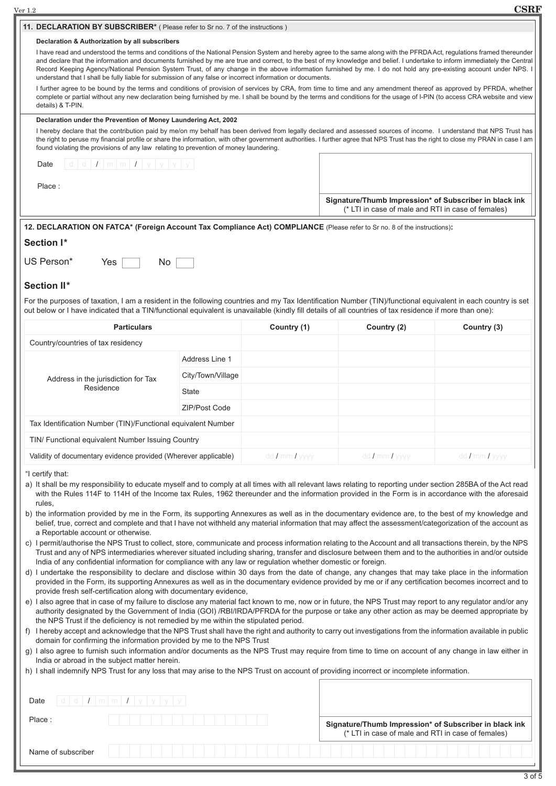| $\rm Ver~1.2$                                                                                                                                                                                                                                                                                                                                                                                                                                                                                                                                                                                                                                                                                                                                                                                                                                                                                                                                                                                                                                                                                                                                                                                                                                                                                                                                                                                                                                                                                                                                                                                                                                                                                                                                                                                                                                                                                                                                                                                                                                                                                                                                                                                                                                                                                                                                                                                                                                                                                                                                      |                   |                |                                                                                                              | <b>CSRF</b>    |
|----------------------------------------------------------------------------------------------------------------------------------------------------------------------------------------------------------------------------------------------------------------------------------------------------------------------------------------------------------------------------------------------------------------------------------------------------------------------------------------------------------------------------------------------------------------------------------------------------------------------------------------------------------------------------------------------------------------------------------------------------------------------------------------------------------------------------------------------------------------------------------------------------------------------------------------------------------------------------------------------------------------------------------------------------------------------------------------------------------------------------------------------------------------------------------------------------------------------------------------------------------------------------------------------------------------------------------------------------------------------------------------------------------------------------------------------------------------------------------------------------------------------------------------------------------------------------------------------------------------------------------------------------------------------------------------------------------------------------------------------------------------------------------------------------------------------------------------------------------------------------------------------------------------------------------------------------------------------------------------------------------------------------------------------------------------------------------------------------------------------------------------------------------------------------------------------------------------------------------------------------------------------------------------------------------------------------------------------------------------------------------------------------------------------------------------------------------------------------------------------------------------------------------------------------|-------------------|----------------|--------------------------------------------------------------------------------------------------------------|----------------|
| 11. DECLARATION BY SUBSCRIBER* ( Please refer to Sr no. 7 of the instructions )                                                                                                                                                                                                                                                                                                                                                                                                                                                                                                                                                                                                                                                                                                                                                                                                                                                                                                                                                                                                                                                                                                                                                                                                                                                                                                                                                                                                                                                                                                                                                                                                                                                                                                                                                                                                                                                                                                                                                                                                                                                                                                                                                                                                                                                                                                                                                                                                                                                                    |                   |                |                                                                                                              |                |
| Declaration & Authorization by all subscribers                                                                                                                                                                                                                                                                                                                                                                                                                                                                                                                                                                                                                                                                                                                                                                                                                                                                                                                                                                                                                                                                                                                                                                                                                                                                                                                                                                                                                                                                                                                                                                                                                                                                                                                                                                                                                                                                                                                                                                                                                                                                                                                                                                                                                                                                                                                                                                                                                                                                                                     |                   |                |                                                                                                              |                |
| I have read and understood the terms and conditions of the National Pension System and hereby agree to the same along with the PFRDAAct, regulations framed thereunder<br>and declare that the information and documents furnished by me are true and correct, to the best of my knowledge and belief. I undertake to inform immediately the Central<br>Record Keeping Agency/National Pension System Trust, of any change in the above information furnished by me. I do not hold any pre-existing account under NPS. I<br>understand that I shall be fully liable for submission of any false or incorrect information or documents.<br>I further agree to be bound by the terms and conditions of provision of services by CRA, from time to time and any amendment thereof as approved by PFRDA, whether<br>complete or partial without any new declaration being furnished by me. I shall be bound by the terms and conditions for the usage of I-PIN (to access CRA website and view<br>details) & T-PIN.                                                                                                                                                                                                                                                                                                                                                                                                                                                                                                                                                                                                                                                                                                                                                                                                                                                                                                                                                                                                                                                                                                                                                                                                                                                                                                                                                                                                                                                                                                                                    |                   |                |                                                                                                              |                |
|                                                                                                                                                                                                                                                                                                                                                                                                                                                                                                                                                                                                                                                                                                                                                                                                                                                                                                                                                                                                                                                                                                                                                                                                                                                                                                                                                                                                                                                                                                                                                                                                                                                                                                                                                                                                                                                                                                                                                                                                                                                                                                                                                                                                                                                                                                                                                                                                                                                                                                                                                    |                   |                |                                                                                                              |                |
| Declaration under the Prevention of Money Laundering Act, 2002<br>I hereby declare that the contribution paid by me/on my behalf has been derived from legally declared and assessed sources of income. I understand that NPS Trust has<br>the right to peruse my financial profile or share the information, with other government authorities. I further agree that NPS Trust has the right to close my PRAN in case I am<br>found violating the provisions of any law relating to prevention of money laundering.                                                                                                                                                                                                                                                                                                                                                                                                                                                                                                                                                                                                                                                                                                                                                                                                                                                                                                                                                                                                                                                                                                                                                                                                                                                                                                                                                                                                                                                                                                                                                                                                                                                                                                                                                                                                                                                                                                                                                                                                                               |                   |                |                                                                                                              |                |
| Date                                                                                                                                                                                                                                                                                                                                                                                                                                                                                                                                                                                                                                                                                                                                                                                                                                                                                                                                                                                                                                                                                                                                                                                                                                                                                                                                                                                                                                                                                                                                                                                                                                                                                                                                                                                                                                                                                                                                                                                                                                                                                                                                                                                                                                                                                                                                                                                                                                                                                                                                               |                   |                |                                                                                                              |                |
| Place:                                                                                                                                                                                                                                                                                                                                                                                                                                                                                                                                                                                                                                                                                                                                                                                                                                                                                                                                                                                                                                                                                                                                                                                                                                                                                                                                                                                                                                                                                                                                                                                                                                                                                                                                                                                                                                                                                                                                                                                                                                                                                                                                                                                                                                                                                                                                                                                                                                                                                                                                             |                   |                | Signature/Thumb Impression* of Subscriber in black ink<br>(* LTI in case of male and RTI in case of females) |                |
| 12. DECLARATION ON FATCA* (Foreign Account Tax Compliance Act) COMPLIANCE (Please refer to Sr no. 8 of the instructions):                                                                                                                                                                                                                                                                                                                                                                                                                                                                                                                                                                                                                                                                                                                                                                                                                                                                                                                                                                                                                                                                                                                                                                                                                                                                                                                                                                                                                                                                                                                                                                                                                                                                                                                                                                                                                                                                                                                                                                                                                                                                                                                                                                                                                                                                                                                                                                                                                          |                   |                |                                                                                                              |                |
| Section I*<br>US Person*<br>Yes<br>No<br><b>Section II*</b><br>For the purposes of taxation, I am a resident in the following countries and my Tax Identification Number (TIN)/functional equivalent in each country is set<br>out below or I have indicated that a TIN/functional equivalent is unavailable (kindly fill details of all countries of tax residence if more than one):                                                                                                                                                                                                                                                                                                                                                                                                                                                                                                                                                                                                                                                                                                                                                                                                                                                                                                                                                                                                                                                                                                                                                                                                                                                                                                                                                                                                                                                                                                                                                                                                                                                                                                                                                                                                                                                                                                                                                                                                                                                                                                                                                             |                   |                |                                                                                                              |                |
| <b>Particulars</b>                                                                                                                                                                                                                                                                                                                                                                                                                                                                                                                                                                                                                                                                                                                                                                                                                                                                                                                                                                                                                                                                                                                                                                                                                                                                                                                                                                                                                                                                                                                                                                                                                                                                                                                                                                                                                                                                                                                                                                                                                                                                                                                                                                                                                                                                                                                                                                                                                                                                                                                                 |                   | Country (1)    | Country (2)                                                                                                  | Country (3)    |
| Country/countries of tax residency                                                                                                                                                                                                                                                                                                                                                                                                                                                                                                                                                                                                                                                                                                                                                                                                                                                                                                                                                                                                                                                                                                                                                                                                                                                                                                                                                                                                                                                                                                                                                                                                                                                                                                                                                                                                                                                                                                                                                                                                                                                                                                                                                                                                                                                                                                                                                                                                                                                                                                                 |                   |                |                                                                                                              |                |
|                                                                                                                                                                                                                                                                                                                                                                                                                                                                                                                                                                                                                                                                                                                                                                                                                                                                                                                                                                                                                                                                                                                                                                                                                                                                                                                                                                                                                                                                                                                                                                                                                                                                                                                                                                                                                                                                                                                                                                                                                                                                                                                                                                                                                                                                                                                                                                                                                                                                                                                                                    | Address Line 1    |                |                                                                                                              |                |
| Address in the jurisdiction for Tax                                                                                                                                                                                                                                                                                                                                                                                                                                                                                                                                                                                                                                                                                                                                                                                                                                                                                                                                                                                                                                                                                                                                                                                                                                                                                                                                                                                                                                                                                                                                                                                                                                                                                                                                                                                                                                                                                                                                                                                                                                                                                                                                                                                                                                                                                                                                                                                                                                                                                                                | City/Town/Village |                |                                                                                                              |                |
| Residence                                                                                                                                                                                                                                                                                                                                                                                                                                                                                                                                                                                                                                                                                                                                                                                                                                                                                                                                                                                                                                                                                                                                                                                                                                                                                                                                                                                                                                                                                                                                                                                                                                                                                                                                                                                                                                                                                                                                                                                                                                                                                                                                                                                                                                                                                                                                                                                                                                                                                                                                          | State             |                |                                                                                                              |                |
|                                                                                                                                                                                                                                                                                                                                                                                                                                                                                                                                                                                                                                                                                                                                                                                                                                                                                                                                                                                                                                                                                                                                                                                                                                                                                                                                                                                                                                                                                                                                                                                                                                                                                                                                                                                                                                                                                                                                                                                                                                                                                                                                                                                                                                                                                                                                                                                                                                                                                                                                                    | ZIP/Post Code     |                |                                                                                                              |                |
| Tax Identification Number (TIN)/Functional equivalent Number                                                                                                                                                                                                                                                                                                                                                                                                                                                                                                                                                                                                                                                                                                                                                                                                                                                                                                                                                                                                                                                                                                                                                                                                                                                                                                                                                                                                                                                                                                                                                                                                                                                                                                                                                                                                                                                                                                                                                                                                                                                                                                                                                                                                                                                                                                                                                                                                                                                                                       |                   |                |                                                                                                              |                |
| TIN/ Functional equivalent Number Issuing Country                                                                                                                                                                                                                                                                                                                                                                                                                                                                                                                                                                                                                                                                                                                                                                                                                                                                                                                                                                                                                                                                                                                                                                                                                                                                                                                                                                                                                                                                                                                                                                                                                                                                                                                                                                                                                                                                                                                                                                                                                                                                                                                                                                                                                                                                                                                                                                                                                                                                                                  |                   |                |                                                                                                              |                |
| Validity of documentary evidence provided (Wherever applicable)                                                                                                                                                                                                                                                                                                                                                                                                                                                                                                                                                                                                                                                                                                                                                                                                                                                                                                                                                                                                                                                                                                                                                                                                                                                                                                                                                                                                                                                                                                                                                                                                                                                                                                                                                                                                                                                                                                                                                                                                                                                                                                                                                                                                                                                                                                                                                                                                                                                                                    |                   | dd / mm / yyyy | dd / mm / yyyy                                                                                               | dd / mm / yyyy |
| "I certify that:<br>a) It shall be my responsibility to educate myself and to comply at all times with all relevant laws relating to reporting under section 285BA of the Act read<br>with the Rules 114F to 114H of the Income tax Rules, 1962 thereunder and the information provided in the Form is in accordance with the aforesaid<br>rules,<br>b) the information provided by me in the Form, its supporting Annexures as well as in the documentary evidence are, to the best of my knowledge and<br>belief, true, correct and complete and that I have not withheld any material information that may affect the assessment/categorization of the account as<br>a Reportable account or otherwise.<br>c) I permit/authorise the NPS Trust to collect, store, communicate and process information relating to the Account and all transactions therein, by the NPS<br>Trust and any of NPS intermediaries wherever situated including sharing, transfer and disclosure between them and to the authorities in and/or outside<br>India of any confidential information for compliance with any law or regulation whether domestic or foreign.<br>d) I undertake the responsibility to declare and disclose within 30 days from the date of change, any changes that may take place in the information<br>provided in the Form, its supporting Annexures as well as in the documentary evidence provided by me or if any certification becomes incorrect and to<br>provide fresh self-certification along with documentary evidence,<br>e) I also agree that in case of my failure to disclose any material fact known to me, now or in future, the NPS Trust may report to any regulator and/or any<br>authority designated by the Government of India (GOI) /RBI/IRDA/PFRDA for the purpose or take any other action as may be deemed appropriate by<br>the NPS Trust if the deficiency is not remedied by me within the stipulated period.<br>f) I hereby accept and acknowledge that the NPS Trust shall have the right and authority to carry out investigations from the information available in public<br>domain for confirming the information provided by me to the NPS Trust<br>g) I also agree to furnish such information and/or documents as the NPS Trust may require from time to time on account of any change in law either in<br>India or abroad in the subject matter herein.<br>h) I shall indemnify NPS Trust for any loss that may arise to the NPS Trust on account of providing incorrect or incomplete information. |                   |                |                                                                                                              |                |
| d   d   I   m   m   I   y   y   y<br>Date<br>Place:                                                                                                                                                                                                                                                                                                                                                                                                                                                                                                                                                                                                                                                                                                                                                                                                                                                                                                                                                                                                                                                                                                                                                                                                                                                                                                                                                                                                                                                                                                                                                                                                                                                                                                                                                                                                                                                                                                                                                                                                                                                                                                                                                                                                                                                                                                                                                                                                                                                                                                |                   |                | Signature/Thumb Impression* of Subscriber in black ink                                                       |                |
|                                                                                                                                                                                                                                                                                                                                                                                                                                                                                                                                                                                                                                                                                                                                                                                                                                                                                                                                                                                                                                                                                                                                                                                                                                                                                                                                                                                                                                                                                                                                                                                                                                                                                                                                                                                                                                                                                                                                                                                                                                                                                                                                                                                                                                                                                                                                                                                                                                                                                                                                                    |                   |                | (* LTI in case of male and RTI in case of females)                                                           |                |
| Name of subscriber                                                                                                                                                                                                                                                                                                                                                                                                                                                                                                                                                                                                                                                                                                                                                                                                                                                                                                                                                                                                                                                                                                                                                                                                                                                                                                                                                                                                                                                                                                                                                                                                                                                                                                                                                                                                                                                                                                                                                                                                                                                                                                                                                                                                                                                                                                                                                                                                                                                                                                                                 |                   |                |                                                                                                              |                |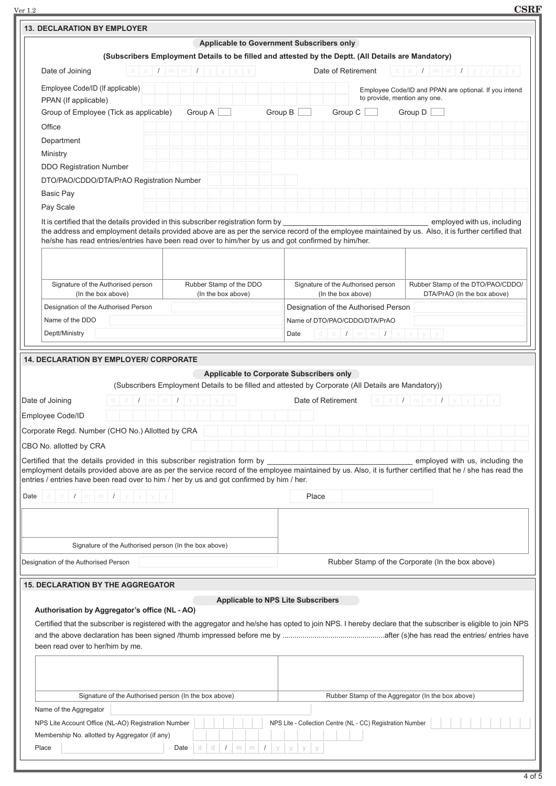Ver 1.2 **CSRF**

| <b>13. DECLARATION BY EMPLOYER</b>                                                                                                                                                                                                                                                                                                                                                                                   |                                                                                                                          |         |                                           |  |                                                            |                                      |                    |  |                                                                                       |                                       |  |  |  |                                   |                               |  |  |  |  |  |  |  |
|----------------------------------------------------------------------------------------------------------------------------------------------------------------------------------------------------------------------------------------------------------------------------------------------------------------------------------------------------------------------------------------------------------------------|--------------------------------------------------------------------------------------------------------------------------|---------|-------------------------------------------|--|------------------------------------------------------------|--------------------------------------|--------------------|--|---------------------------------------------------------------------------------------|---------------------------------------|--|--|--|-----------------------------------|-------------------------------|--|--|--|--|--|--|--|
|                                                                                                                                                                                                                                                                                                                                                                                                                      |                                                                                                                          |         | Applicable to Government Subscribers only |  |                                                            |                                      |                    |  |                                                                                       |                                       |  |  |  |                                   |                               |  |  |  |  |  |  |  |
| (Subscribers Employment Details to be filled and attested by the Deptt. (All Details are Mandatory)                                                                                                                                                                                                                                                                                                                  |                                                                                                                          |         |                                           |  |                                                            |                                      |                    |  |                                                                                       |                                       |  |  |  |                                   |                               |  |  |  |  |  |  |  |
| Date of Joining<br>d                                                                                                                                                                                                                                                                                                                                                                                                 | $d \mid I \mid m \mid m \mid I$                                                                                          |         |                                           |  |                                                            |                                      | Date of Retirement |  |                                                                                       |                                       |  |  |  | d d $I$ m m $I$ y y y y           |                               |  |  |  |  |  |  |  |
| Employee Code/ID (If applicable)                                                                                                                                                                                                                                                                                                                                                                                     |                                                                                                                          |         |                                           |  |                                                            |                                      |                    |  | Employee Code/ID and PPAN are optional. If you intend<br>to provide, mention any one. |                                       |  |  |  |                                   |                               |  |  |  |  |  |  |  |
| PPAN (If applicable)<br>Group of Employee (Tick as applicable)                                                                                                                                                                                                                                                                                                                                                       |                                                                                                                          | Group A |                                           |  | Group B                                                    |                                      | Group C            |  |                                                                                       | Group D                               |  |  |  |                                   |                               |  |  |  |  |  |  |  |
| Office                                                                                                                                                                                                                                                                                                                                                                                                               |                                                                                                                          |         |                                           |  |                                                            |                                      |                    |  |                                                                                       |                                       |  |  |  |                                   |                               |  |  |  |  |  |  |  |
|                                                                                                                                                                                                                                                                                                                                                                                                                      |                                                                                                                          |         |                                           |  |                                                            |                                      |                    |  |                                                                                       |                                       |  |  |  |                                   |                               |  |  |  |  |  |  |  |
| Department                                                                                                                                                                                                                                                                                                                                                                                                           |                                                                                                                          |         |                                           |  |                                                            |                                      |                    |  |                                                                                       |                                       |  |  |  |                                   |                               |  |  |  |  |  |  |  |
| Ministry                                                                                                                                                                                                                                                                                                                                                                                                             |                                                                                                                          |         |                                           |  |                                                            |                                      |                    |  |                                                                                       |                                       |  |  |  |                                   |                               |  |  |  |  |  |  |  |
| <b>DDO Registration Number</b>                                                                                                                                                                                                                                                                                                                                                                                       |                                                                                                                          |         |                                           |  |                                                            |                                      |                    |  |                                                                                       |                                       |  |  |  |                                   |                               |  |  |  |  |  |  |  |
| DTO/PAO/CDDO/DTA/PrAO Registration Number                                                                                                                                                                                                                                                                                                                                                                            |                                                                                                                          |         |                                           |  |                                                            |                                      |                    |  |                                                                                       |                                       |  |  |  |                                   |                               |  |  |  |  |  |  |  |
| <b>Basic Pay</b>                                                                                                                                                                                                                                                                                                                                                                                                     |                                                                                                                          |         |                                           |  |                                                            |                                      |                    |  |                                                                                       |                                       |  |  |  |                                   |                               |  |  |  |  |  |  |  |
| Pay Scale<br>It is certified that the details provided in this subscriber registration form by                                                                                                                                                                                                                                                                                                                       |                                                                                                                          |         |                                           |  |                                                            |                                      |                    |  |                                                                                       |                                       |  |  |  | employed with us, including       |                               |  |  |  |  |  |  |  |
| the address and employment details provided above are as per the service record of the employee maintained by us. Also, it is further certified that<br>he/she has read entries/entries have been read over to him/her by us and got confirmed by him/her.                                                                                                                                                           |                                                                                                                          |         |                                           |  |                                                            |                                      |                    |  |                                                                                       |                                       |  |  |  |                                   |                               |  |  |  |  |  |  |  |
| Signature of the Authorised person                                                                                                                                                                                                                                                                                                                                                                                   |                                                                                                                          |         | Rubber Stamp of the DDO                   |  |                                                            | Signature of the Authorised person   |                    |  |                                                                                       |                                       |  |  |  | Rubber Stamp of the DTO/PAO/CDDO/ |                               |  |  |  |  |  |  |  |
| (In the box above)                                                                                                                                                                                                                                                                                                                                                                                                   |                                                                                                                          |         | (In the box above)                        |  |                                                            |                                      | (In the box above) |  |                                                                                       |                                       |  |  |  | DTA/PrAO (In the box above)       |                               |  |  |  |  |  |  |  |
| Designation of the Authorised Person<br>Name of the DDO                                                                                                                                                                                                                                                                                                                                                              |                                                                                                                          |         |                                           |  |                                                            | Designation of the Authorised Person |                    |  |                                                                                       |                                       |  |  |  |                                   |                               |  |  |  |  |  |  |  |
|                                                                                                                                                                                                                                                                                                                                                                                                                      |                                                                                                                          |         |                                           |  |                                                            |                                      |                    |  |                                                                                       |                                       |  |  |  |                                   | Name of DTO/PAO/CDDO/DTA/PrAO |  |  |  |  |  |  |  |
|                                                                                                                                                                                                                                                                                                                                                                                                                      | Deptt/Ministry<br>d d $I$ m m $I$ y y y y<br>Date                                                                        |         |                                           |  |                                                            |                                      |                    |  |                                                                                       |                                       |  |  |  |                                   |                               |  |  |  |  |  |  |  |
| <b>14. DECLARATION BY EMPLOYER/ CORPORATE</b><br>Date of Joining<br>Employee Code/ID                                                                                                                                                                                                                                                                                                                                 | (Subscribers Employment Details to be filled and attested by Corporate (All Details are Mandatory))<br>$1 \mid m \mid m$ |         | Applicable to Corporate Subscribers only  |  |                                                            | Date of Retirement                   |                    |  |                                                                                       | $d d d   I   m   m   I   y   y   y  $ |  |  |  |                                   |                               |  |  |  |  |  |  |  |
| Corporate Regd. Number (CHO No.) Allotted by CRA<br>CBO No. allotted by CRA<br>Certified that the details provided in this subscriber registration form by<br>employment details provided above are as per the service record of the employee maintained by us. Also, it is further certified that he / she has read the<br>entries / entries have been read over to him / her by us and got confirmed by him / her. |                                                                                                                          |         |                                           |  |                                                            |                                      |                    |  |                                                                                       |                                       |  |  |  | employed with us, including the   |                               |  |  |  |  |  |  |  |
| d d d L m m L y y y<br>Date                                                                                                                                                                                                                                                                                                                                                                                          |                                                                                                                          |         |                                           |  |                                                            | Place                                |                    |  |                                                                                       |                                       |  |  |  |                                   |                               |  |  |  |  |  |  |  |
|                                                                                                                                                                                                                                                                                                                                                                                                                      |                                                                                                                          |         |                                           |  |                                                            |                                      |                    |  |                                                                                       |                                       |  |  |  |                                   |                               |  |  |  |  |  |  |  |
| Signature of the Authorised person (In the box above)<br>Designation of the Authorised Person                                                                                                                                                                                                                                                                                                                        |                                                                                                                          |         |                                           |  |                                                            |                                      |                    |  | Rubber Stamp of the Corporate (In the box above)                                      |                                       |  |  |  |                                   |                               |  |  |  |  |  |  |  |
| <b>15. DECLARATION BY THE AGGREGATOR</b><br>Authorisation by Aggregator's office (NL - AO)<br>Certified that the subscriber is registered with the aggregator and he/she has opted to join NPS. I hereby declare that the subscriber is eligible to join NPS<br>been read over to her/him by me.                                                                                                                     |                                                                                                                          |         | <b>Applicable to NPS Lite Subscribers</b> |  |                                                            |                                      |                    |  |                                                                                       |                                       |  |  |  |                                   |                               |  |  |  |  |  |  |  |
| Signature of the Authorised person (In the box above)<br>Name of the Aggregator<br>NPS Lite Account Office (NL-AO) Registration Number                                                                                                                                                                                                                                                                               |                                                                                                                          |         |                                           |  | NPS Lite - Collection Centre (NL - CC) Registration Number |                                      |                    |  | Rubber Stamp of the Aggregator (In the box above)                                     |                                       |  |  |  |                                   |                               |  |  |  |  |  |  |  |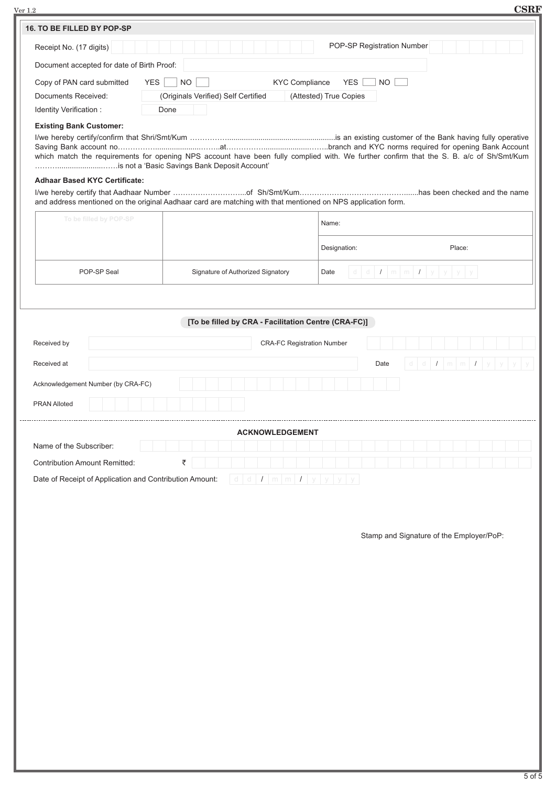| $\rm Ver~1.2$                        |                                            |                                                                                                                                              |                                             | <b>CSRF</b>                              |
|--------------------------------------|--------------------------------------------|----------------------------------------------------------------------------------------------------------------------------------------------|---------------------------------------------|------------------------------------------|
| 16. TO BE FILLED BY POP-SP           |                                            |                                                                                                                                              |                                             |                                          |
| Receipt No. (17 digits)              |                                            |                                                                                                                                              | POP-SP Registration Number                  |                                          |
|                                      | Document accepted for date of Birth Proof: |                                                                                                                                              |                                             |                                          |
| Copy of PAN card submitted           |                                            | <b>YES</b><br><b>NO</b>                                                                                                                      | <b>KYC Compliance</b><br>YES  <br><b>NO</b> |                                          |
| Documents Received:                  |                                            | (Originals Verified) Self Certified                                                                                                          | (Attested) True Copies                      |                                          |
| Identity Verification :              |                                            | Done                                                                                                                                         |                                             |                                          |
| <b>Existing Bank Customer:</b>       |                                            |                                                                                                                                              |                                             |                                          |
|                                      |                                            |                                                                                                                                              |                                             |                                          |
|                                      |                                            | which match the requirements for opening NPS account have been fully complied with. We further confirm that the S. B. a/c of Sh/Smt/Kum      |                                             |                                          |
|                                      | <b>Adhaar Based KYC Certificate:</b>       |                                                                                                                                              |                                             |                                          |
|                                      |                                            | and address mentioned on the original Aadhaar card are matching with that mentioned on NPS application form.                                 |                                             |                                          |
|                                      |                                            |                                                                                                                                              |                                             |                                          |
|                                      | To be filled by POP-SP                     |                                                                                                                                              | Name:                                       |                                          |
|                                      |                                            |                                                                                                                                              | Designation:                                | Place:                                   |
|                                      | POP-SP Seal                                | Signature of Authorized Signatory                                                                                                            | Date                                        | $d d d   I   m   m   I   y   y   y$      |
|                                      |                                            |                                                                                                                                              |                                             |                                          |
|                                      |                                            |                                                                                                                                              |                                             |                                          |
|                                      |                                            | [To be filled by CRA - Facilitation Centre (CRA-FC)]                                                                                         |                                             |                                          |
| Received by                          |                                            |                                                                                                                                              | <b>CRA-FC Registration Number</b>           |                                          |
| Received at                          |                                            |                                                                                                                                              | Date                                        | dd $I$ m $m$ $I$ y y y                   |
|                                      | Acknowledgement Number (by CRA-FC)         |                                                                                                                                              |                                             |                                          |
|                                      |                                            |                                                                                                                                              |                                             |                                          |
| <b>PRAN Alloted</b>                  |                                            |                                                                                                                                              |                                             |                                          |
|                                      |                                            | <b>ACKNOWLEDGEMENT</b>                                                                                                                       |                                             |                                          |
| Name of the Subscriber:              |                                            |                                                                                                                                              |                                             |                                          |
| <b>Contribution Amount Remitted:</b> |                                            | ₹                                                                                                                                            |                                             |                                          |
|                                      |                                            | Date of Receipt of Application and Contribution Amount:<br>$\lfloor d \rfloor d \lfloor I \rfloor m \lfloor m \rfloor I \rfloor y \rfloor y$ | $\vee$                                      |                                          |
|                                      |                                            |                                                                                                                                              |                                             |                                          |
|                                      |                                            |                                                                                                                                              |                                             |                                          |
|                                      |                                            |                                                                                                                                              |                                             | Stamp and Signature of the Employer/PoP: |
|                                      |                                            |                                                                                                                                              |                                             |                                          |
|                                      |                                            |                                                                                                                                              |                                             |                                          |
|                                      |                                            |                                                                                                                                              |                                             |                                          |
|                                      |                                            |                                                                                                                                              |                                             |                                          |
|                                      |                                            |                                                                                                                                              |                                             |                                          |
|                                      |                                            |                                                                                                                                              |                                             |                                          |
|                                      |                                            |                                                                                                                                              |                                             |                                          |
|                                      |                                            |                                                                                                                                              |                                             |                                          |
|                                      |                                            |                                                                                                                                              |                                             |                                          |
|                                      |                                            |                                                                                                                                              |                                             |                                          |
|                                      |                                            |                                                                                                                                              |                                             |                                          |
|                                      |                                            |                                                                                                                                              |                                             |                                          |
|                                      |                                            |                                                                                                                                              |                                             |                                          |